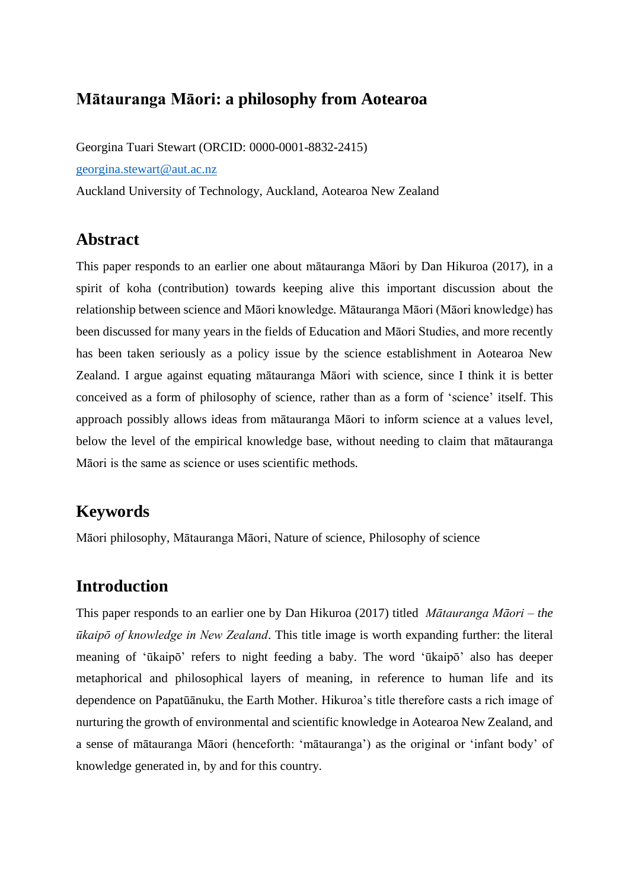### **Mātauranga Māori: a philosophy from Aotearoa**

Georgina Tuari Stewart (ORCID: 0000-0001-8832-2415) [georgina.stewart@aut.ac.nz](mailto:georgina.stewart@aut.ac.nz) Auckland University of Technology, Auckland, Aotearoa New Zealand

#### **Abstract**

This paper responds to an earlier one about mātauranga Māori by Dan Hikuroa (2017), in a spirit of koha (contribution) towards keeping alive this important discussion about the relationship between science and Māori knowledge. Mātauranga Māori (Māori knowledge) has been discussed for many years in the fields of Education and Māori Studies, and more recently has been taken seriously as a policy issue by the science establishment in Aotearoa New Zealand. I argue against equating mātauranga Māori with science, since I think it is better conceived as a form of philosophy of science, rather than as a form of 'science' itself. This approach possibly allows ideas from mātauranga Māori to inform science at a values level, below the level of the empirical knowledge base, without needing to claim that mātauranga Māori is the same as science or uses scientific methods.

## **Keywords**

Māori philosophy, Mātauranga Māori, Nature of science, Philosophy of science

## **Introduction**

This paper responds to an earlier one by Dan Hikuroa (2017) titled *Mātauranga Māori – the ūkaipō of knowledge in New Zealand*. This title image is worth expanding further: the literal meaning of 'ūkaipō' refers to night feeding a baby. The word 'ūkaipō' also has deeper metaphorical and philosophical layers of meaning, in reference to human life and its dependence on Papatūānuku, the Earth Mother. Hikuroa's title therefore casts a rich image of nurturing the growth of environmental and scientific knowledge in Aotearoa New Zealand, and a sense of mātauranga Māori (henceforth: 'mātauranga') as the original or 'infant body' of knowledge generated in, by and for this country.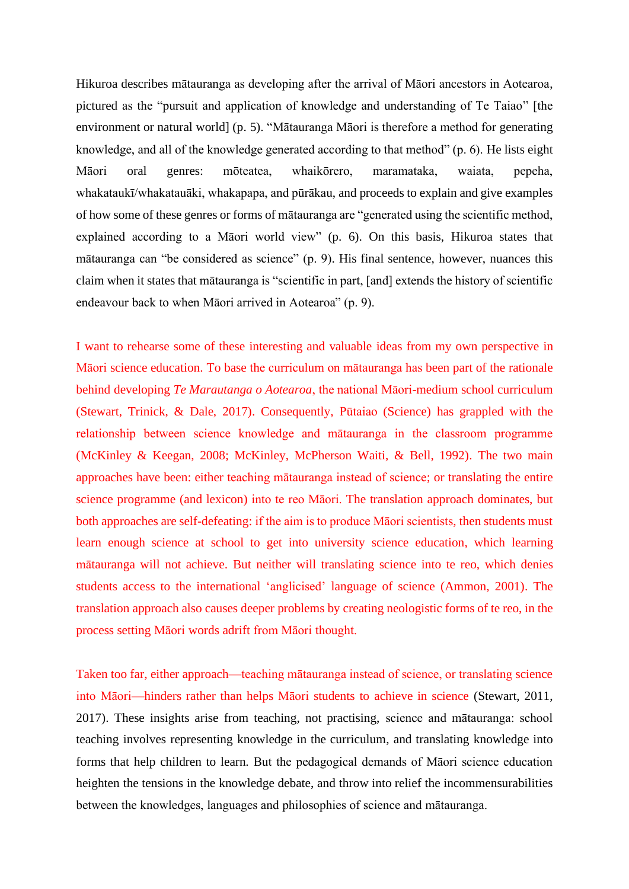Hikuroa describes mātauranga as developing after the arrival of Māori ancestors in Aotearoa, pictured as the "pursuit and application of knowledge and understanding of Te Taiao" [the environment or natural world] (p. 5). "Mātauranga Māori is therefore a method for generating knowledge, and all of the knowledge generated according to that method" (p. 6). He lists eight Māori oral genres: mōteatea, whaikōrero, maramataka, waiata, pepeha, whakataukī/whakatauāki, whakapapa, and pūrākau, and proceeds to explain and give examples of how some of these genres or forms of mātauranga are "generated using the scientific method, explained according to a Māori world view" (p. 6). On this basis, Hikuroa states that mātauranga can "be considered as science" (p. 9). His final sentence, however, nuances this claim when it states that mātauranga is "scientific in part, [and] extends the history of scientific endeavour back to when Māori arrived in Aotearoa" (p. 9).

I want to rehearse some of these interesting and valuable ideas from my own perspective in Māori science education. To base the curriculum on mātauranga has been part of the rationale behind developing *Te Marautanga o Aotearoa*, the national Māori-medium school curriculum (Stewart, Trinick, & Dale, 2017). Consequently, Pūtaiao (Science) has grappled with the relationship between science knowledge and mātauranga in the classroom programme (McKinley & Keegan, 2008; McKinley, McPherson Waiti, & Bell, 1992). The two main approaches have been: either teaching mātauranga instead of science; or translating the entire science programme (and lexicon) into te reo Māori. The translation approach dominates, but both approaches are self-defeating: if the aim is to produce Māori scientists, then students must learn enough science at school to get into university science education, which learning mātauranga will not achieve. But neither will translating science into te reo, which denies students access to the international 'anglicised' language of science (Ammon, 2001). The translation approach also causes deeper problems by creating neologistic forms of te reo, in the process setting Māori words adrift from Māori thought.

Taken too far, either approach—teaching mātauranga instead of science, or translating science into Māori—hinders rather than helps Māori students to achieve in science (Stewart, 2011, 2017). These insights arise from teaching, not practising, science and mātauranga: school teaching involves representing knowledge in the curriculum, and translating knowledge into forms that help children to learn. But the pedagogical demands of Māori science education heighten the tensions in the knowledge debate, and throw into relief the incommensurabilities between the knowledges, languages and philosophies of science and mātauranga.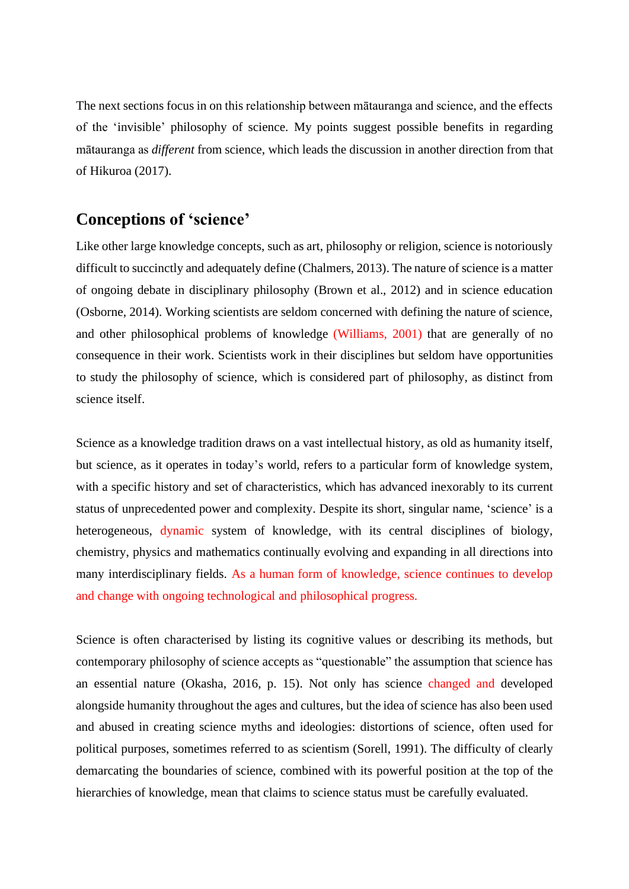The next sections focus in on this relationship between mātauranga and science, and the effects of the 'invisible' philosophy of science. My points suggest possible benefits in regarding mātauranga as *different* from science, which leads the discussion in another direction from that of Hikuroa (2017).

## **Conceptions of 'science'**

Like other large knowledge concepts, such as art, philosophy or religion, science is notoriously difficult to succinctly and adequately define (Chalmers, 2013). The nature of science is a matter of ongoing debate in disciplinary philosophy (Brown et al., 2012) and in science education (Osborne, 2014). Working scientists are seldom concerned with defining the nature of science, and other philosophical problems of knowledge (Williams, 2001) that are generally of no consequence in their work. Scientists work in their disciplines but seldom have opportunities to study the philosophy of science, which is considered part of philosophy, as distinct from science itself.

Science as a knowledge tradition draws on a vast intellectual history, as old as humanity itself, but science, as it operates in today's world, refers to a particular form of knowledge system, with a specific history and set of characteristics, which has advanced inexorably to its current status of unprecedented power and complexity. Despite its short, singular name, 'science' is a heterogeneous, dynamic system of knowledge, with its central disciplines of biology, chemistry, physics and mathematics continually evolving and expanding in all directions into many interdisciplinary fields. As a human form of knowledge, science continues to develop and change with ongoing technological and philosophical progress.

Science is often characterised by listing its cognitive values or describing its methods, but contemporary philosophy of science accepts as "questionable" the assumption that science has an essential nature (Okasha, 2016, p. 15). Not only has science changed and developed alongside humanity throughout the ages and cultures, but the idea of science has also been used and abused in creating science myths and ideologies: distortions of science, often used for political purposes, sometimes referred to as scientism (Sorell, 1991). The difficulty of clearly demarcating the boundaries of science, combined with its powerful position at the top of the hierarchies of knowledge, mean that claims to science status must be carefully evaluated.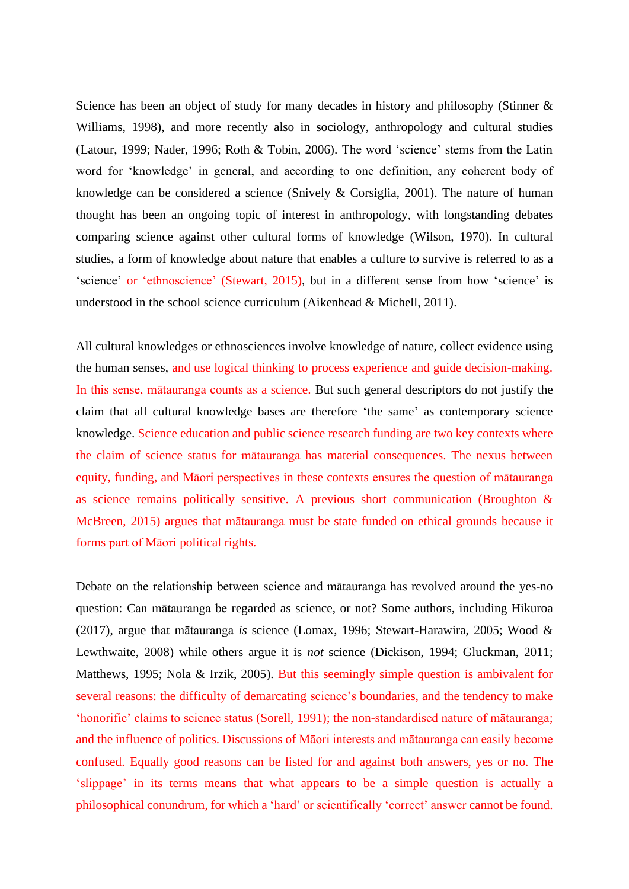Science has been an object of study for many decades in history and philosophy (Stinner & Williams, 1998), and more recently also in sociology, anthropology and cultural studies (Latour, 1999; Nader, 1996; Roth & Tobin, 2006). The word 'science' stems from the Latin word for 'knowledge' in general, and according to one definition, any coherent body of knowledge can be considered a science (Snively & Corsiglia, 2001). The nature of human thought has been an ongoing topic of interest in anthropology, with longstanding debates comparing science against other cultural forms of knowledge (Wilson, 1970). In cultural studies, a form of knowledge about nature that enables a culture to survive is referred to as a 'science' or 'ethnoscience' (Stewart, 2015), but in a different sense from how 'science' is understood in the school science curriculum (Aikenhead & Michell, 2011).

All cultural knowledges or ethnosciences involve knowledge of nature, collect evidence using the human senses, and use logical thinking to process experience and guide decision-making. In this sense, mātauranga counts as a science. But such general descriptors do not justify the claim that all cultural knowledge bases are therefore 'the same' as contemporary science knowledge. Science education and public science research funding are two key contexts where the claim of science status for mātauranga has material consequences. The nexus between equity, funding, and Māori perspectives in these contexts ensures the question of mātauranga as science remains politically sensitive. A previous short communication (Broughton & McBreen, 2015) argues that mātauranga must be state funded on ethical grounds because it forms part of Māori political rights.

Debate on the relationship between science and mātauranga has revolved around the yes-no question: Can mātauranga be regarded as science, or not? Some authors, including Hikuroa (2017), argue that mātauranga *is* science (Lomax, 1996; Stewart-Harawira, 2005; Wood & Lewthwaite, 2008) while others argue it is *not* science (Dickison, 1994; Gluckman, 2011; Matthews, 1995; Nola & Irzik, 2005). But this seemingly simple question is ambivalent for several reasons: the difficulty of demarcating science's boundaries, and the tendency to make 'honorific' claims to science status (Sorell, 1991); the non-standardised nature of mātauranga; and the influence of politics. Discussions of Māori interests and mātauranga can easily become confused. Equally good reasons can be listed for and against both answers, yes or no. The 'slippage' in its terms means that what appears to be a simple question is actually a philosophical conundrum, for which a 'hard' or scientifically 'correct' answer cannot be found.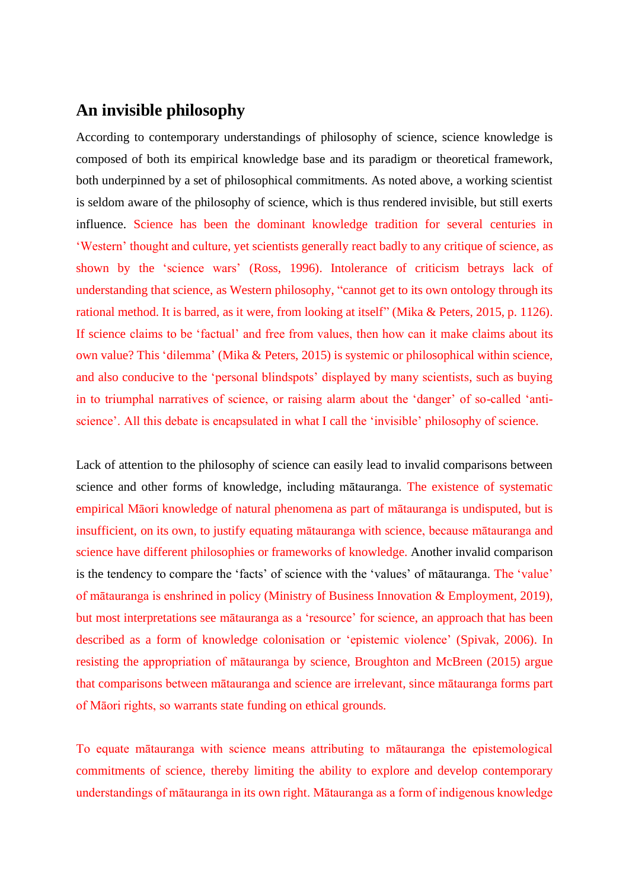# **An invisible philosophy**

According to contemporary understandings of philosophy of science, science knowledge is composed of both its empirical knowledge base and its paradigm or theoretical framework, both underpinned by a set of philosophical commitments. As noted above, a working scientist is seldom aware of the philosophy of science, which is thus rendered invisible, but still exerts influence. Science has been the dominant knowledge tradition for several centuries in 'Western' thought and culture, yet scientists generally react badly to any critique of science, as shown by the 'science wars' (Ross, 1996). Intolerance of criticism betrays lack of understanding that science, as Western philosophy, "cannot get to its own ontology through its rational method. It is barred, as it were, from looking at itself" (Mika & Peters, 2015, p. 1126). If science claims to be 'factual' and free from values, then how can it make claims about its own value? This 'dilemma' (Mika & Peters, 2015) is systemic or philosophical within science, and also conducive to the 'personal blindspots' displayed by many scientists, such as buying in to triumphal narratives of science, or raising alarm about the 'danger' of so-called 'antiscience'. All this debate is encapsulated in what I call the 'invisible' philosophy of science.

Lack of attention to the philosophy of science can easily lead to invalid comparisons between science and other forms of knowledge, including mātauranga. The existence of systematic empirical Māori knowledge of natural phenomena as part of mātauranga is undisputed, but is insufficient, on its own, to justify equating mātauranga with science, because mātauranga and science have different philosophies or frameworks of knowledge. Another invalid comparison is the tendency to compare the 'facts' of science with the 'values' of mātauranga. The 'value' of mātauranga is enshrined in policy (Ministry of Business Innovation & Employment, 2019), but most interpretations see mātauranga as a 'resource' for science, an approach that has been described as a form of knowledge colonisation or 'epistemic violence' (Spivak, 2006). In resisting the appropriation of mātauranga by science, Broughton and McBreen (2015) argue that comparisons between mātauranga and science are irrelevant, since mātauranga forms part of Māori rights, so warrants state funding on ethical grounds.

To equate mātauranga with science means attributing to mātauranga the epistemological commitments of science, thereby limiting the ability to explore and develop contemporary understandings of mātauranga in its own right. Mātauranga as a form of indigenous knowledge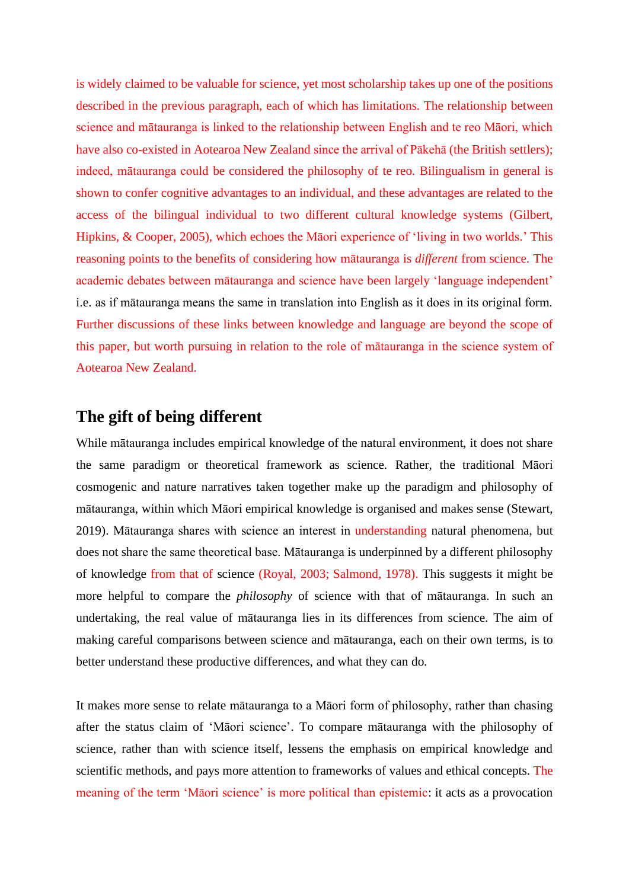is widely claimed to be valuable for science, yet most scholarship takes up one of the positions described in the previous paragraph, each of which has limitations. The relationship between science and mātauranga is linked to the relationship between English and te reo Māori, which have also co-existed in Aotearoa New Zealand since the arrival of Pākehā (the British settlers); indeed, mātauranga could be considered the philosophy of te reo. Bilingualism in general is shown to confer cognitive advantages to an individual, and these advantages are related to the access of the bilingual individual to two different cultural knowledge systems (Gilbert, Hipkins, & Cooper, 2005), which echoes the Māori experience of 'living in two worlds.' This reasoning points to the benefits of considering how mātauranga is *different* from science. The academic debates between mātauranga and science have been largely 'language independent' i.e. as if mātauranga means the same in translation into English as it does in its original form. Further discussions of these links between knowledge and language are beyond the scope of this paper, but worth pursuing in relation to the role of mātauranga in the science system of Aotearoa New Zealand.

### **The gift of being different**

While mātauranga includes empirical knowledge of the natural environment, it does not share the same paradigm or theoretical framework as science. Rather, the traditional Māori cosmogenic and nature narratives taken together make up the paradigm and philosophy of mātauranga, within which Māori empirical knowledge is organised and makes sense (Stewart, 2019). Mātauranga shares with science an interest in understanding natural phenomena, but does not share the same theoretical base. Mātauranga is underpinned by a different philosophy of knowledge from that of science (Royal, 2003; Salmond, 1978). This suggests it might be more helpful to compare the *philosophy* of science with that of mātauranga. In such an undertaking, the real value of mātauranga lies in its differences from science. The aim of making careful comparisons between science and mātauranga, each on their own terms, is to better understand these productive differences, and what they can do.

It makes more sense to relate mātauranga to a Māori form of philosophy, rather than chasing after the status claim of 'Māori science'. To compare mātauranga with the philosophy of science, rather than with science itself, lessens the emphasis on empirical knowledge and scientific methods, and pays more attention to frameworks of values and ethical concepts. The meaning of the term 'Māori science' is more political than epistemic: it acts as a provocation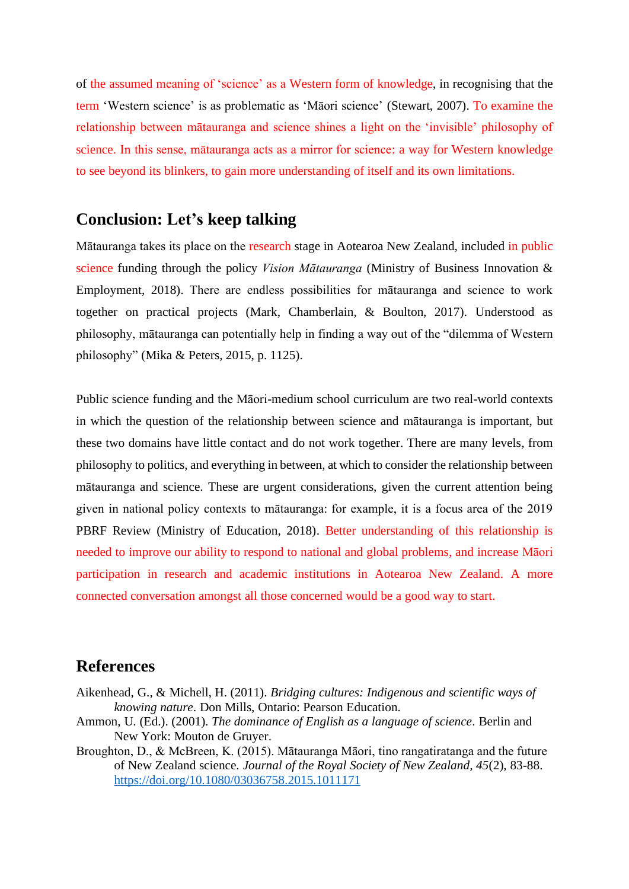of the assumed meaning of 'science' as a Western form of knowledge, in recognising that the term 'Western science' is as problematic as 'Māori science' (Stewart, 2007). To examine the relationship between mātauranga and science shines a light on the 'invisible' philosophy of science. In this sense, mātauranga acts as a mirror for science: a way for Western knowledge to see beyond its blinkers, to gain more understanding of itself and its own limitations.

#### **Conclusion: Let's keep talking**

Mātauranga takes its place on the research stage in Aotearoa New Zealand, included in public science funding through the policy *Vision Mātauranga* (Ministry of Business Innovation & Employment, 2018). There are endless possibilities for mātauranga and science to work together on practical projects (Mark, Chamberlain, & Boulton, 2017). Understood as philosophy, mātauranga can potentially help in finding a way out of the "dilemma of Western philosophy" (Mika & Peters, 2015, p. 1125).

Public science funding and the Māori-medium school curriculum are two real-world contexts in which the question of the relationship between science and mātauranga is important, but these two domains have little contact and do not work together. There are many levels, from philosophy to politics, and everything in between, at which to consider the relationship between mātauranga and science. These are urgent considerations, given the current attention being given in national policy contexts to mātauranga: for example, it is a focus area of the 2019 PBRF Review (Ministry of Education, 2018). Better understanding of this relationship is needed to improve our ability to respond to national and global problems, and increase Māori participation in research and academic institutions in Aotearoa New Zealand. A more connected conversation amongst all those concerned would be a good way to start.

#### **References**

- Aikenhead, G., & Michell, H. (2011). *Bridging cultures: Indigenous and scientific ways of knowing nature*. Don Mills, Ontario: Pearson Education.
- Ammon, U. (Ed.). (2001). *The dominance of English as a language of science*. Berlin and New York: Mouton de Gruyer.
- Broughton, D., & McBreen, K. (2015). Mātauranga Māori, tino rangatiratanga and the future of New Zealand science. *Journal of the Royal Society of New Zealand, 45*(2), 83-88. <https://doi.org/10.1080/03036758.2015.1011171>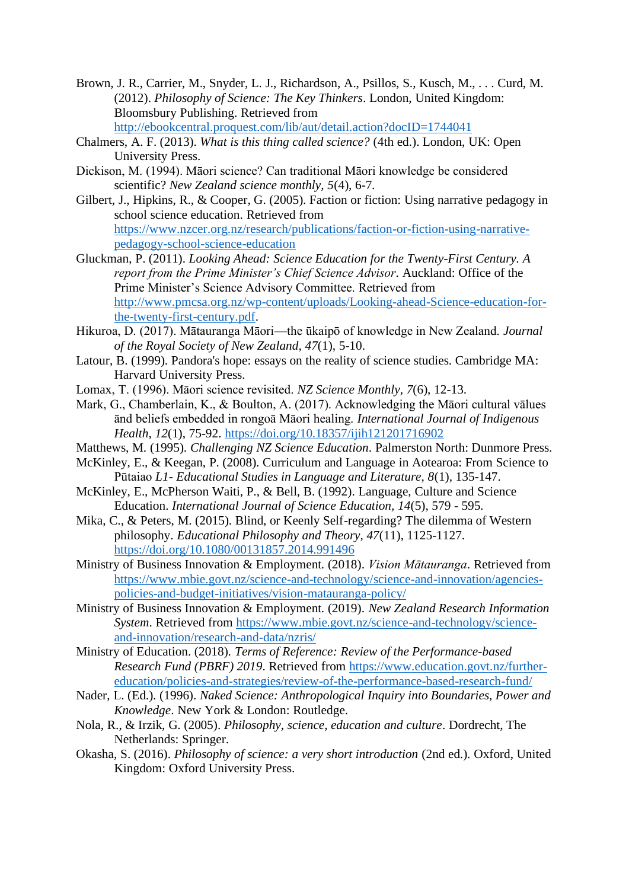- Brown, J. R., Carrier, M., Snyder, L. J., Richardson, A., Psillos, S., Kusch, M., . . . Curd, M. (2012). *Philosophy of Science: The Key Thinkers*. London, United Kingdom: Bloomsbury Publishing. Retrieved from <http://ebookcentral.proquest.com/lib/aut/detail.action?docID=1744041>
- Chalmers, A. F. (2013). *What is this thing called science?* (4th ed.). London, UK: Open University Press.
- Dickison, M. (1994). Māori science? Can traditional Māori knowledge be considered scientific? *New Zealand science monthly, 5*(4), 6-7.
- Gilbert, J., Hipkins, R., & Cooper, G. (2005). Faction or fiction: Using narrative pedagogy in school science education. Retrieved from [https://www.nzcer.org.nz/research/publications/faction-or-fiction-using-narrative](https://www.nzcer.org.nz/research/publications/faction-or-fiction-using-narrative-pedagogy-school-science-education)[pedagogy-school-science-education](https://www.nzcer.org.nz/research/publications/faction-or-fiction-using-narrative-pedagogy-school-science-education)
- Gluckman, P. (2011). *Looking Ahead: Science Education for the Twenty-First Century. A report from the Prime Minister's Chief Science Advisor*. Auckland: Office of the Prime Minister's Science Advisory Committee. Retrieved from [http://www.pmcsa.org.nz/wp-content/uploads/Looking-ahead-Science-education-for](http://www.pmcsa.org.nz/wp-content/uploads/Looking-ahead-Science-education-for-the-twenty-first-century.pdf)[the-twenty-first-century.pdf.](http://www.pmcsa.org.nz/wp-content/uploads/Looking-ahead-Science-education-for-the-twenty-first-century.pdf)
- Hikuroa, D. (2017). Mātauranga Māori—the ūkaipō of knowledge in New Zealand. *Journal of the Royal Society of New Zealand, 47*(1), 5-10.
- Latour, B. (1999). Pandora's hope: essays on the reality of science studies. Cambridge MA: Harvard University Press.
- Lomax, T. (1996). Māori science revisited. *NZ Science Monthly, 7*(6), 12-13.
- Mark, G., Chamberlain, K., & Boulton, A. (2017). Acknowledging the Māori cultural vālues ānd beliefs embedded in rongoā Māori healing. *International Journal of Indigenous Health, 12*(1), 75-92.<https://doi.org/10.18357/ijih121201716902>
- Matthews, M. (1995). *Challenging NZ Science Education*. Palmerston North: Dunmore Press.
- McKinley, E., & Keegan, P. (2008). Curriculum and Language in Aotearoa: From Science to Pūtaiao *L1- Educational Studies in Language and Literature, 8*(1), 135-147.
- McKinley, E., McPherson Waiti, P., & Bell, B. (1992). Language, Culture and Science Education. *International Journal of Science Education, 14*(5), 579 - 595.
- Mika, C., & Peters, M. (2015). Blind, or Keenly Self-regarding? The dilemma of Western philosophy. *Educational Philosophy and Theory, 47*(11), 1125-1127. <https://doi.org/10.1080/00131857.2014.991496>
- Ministry of Business Innovation & Employment. (2018). *Vision Mātauranga*. Retrieved from [https://www.mbie.govt.nz/science-and-technology/science-and-innovation/agencies](https://www.mbie.govt.nz/science-and-technology/science-and-innovation/agencies-policies-and-budget-initiatives/vision-matauranga-policy/)[policies-and-budget-initiatives/vision-matauranga-policy/](https://www.mbie.govt.nz/science-and-technology/science-and-innovation/agencies-policies-and-budget-initiatives/vision-matauranga-policy/)
- Ministry of Business Innovation & Employment. (2019). *New Zealand Research Information System*. Retrieved from [https://www.mbie.govt.nz/science-and-technology/science](https://www.mbie.govt.nz/science-and-technology/science-and-innovation/research-and-data/nzris/)[and-innovation/research-and-data/nzris/](https://www.mbie.govt.nz/science-and-technology/science-and-innovation/research-and-data/nzris/)
- Ministry of Education. (2018). *Terms of Reference: Review of the Performance-based Research Fund (PBRF) 2019*. Retrieved from [https://www.education.govt.nz/further](https://www.education.govt.nz/further-education/policies-and-strategies/review-of-the-performance-based-research-fund/)[education/policies-and-strategies/review-of-the-performance-based-research-fund/](https://www.education.govt.nz/further-education/policies-and-strategies/review-of-the-performance-based-research-fund/)
- Nader, L. (Ed.). (1996). *Naked Science: Anthropological Inquiry into Boundaries, Power and Knowledge*. New York & London: Routledge.
- Nola, R., & Irzik, G. (2005). *Philosophy, science, education and culture*. Dordrecht, The Netherlands: Springer.
- Okasha, S. (2016). *Philosophy of science: a very short introduction* (2nd ed.). Oxford, United Kingdom: Oxford University Press.